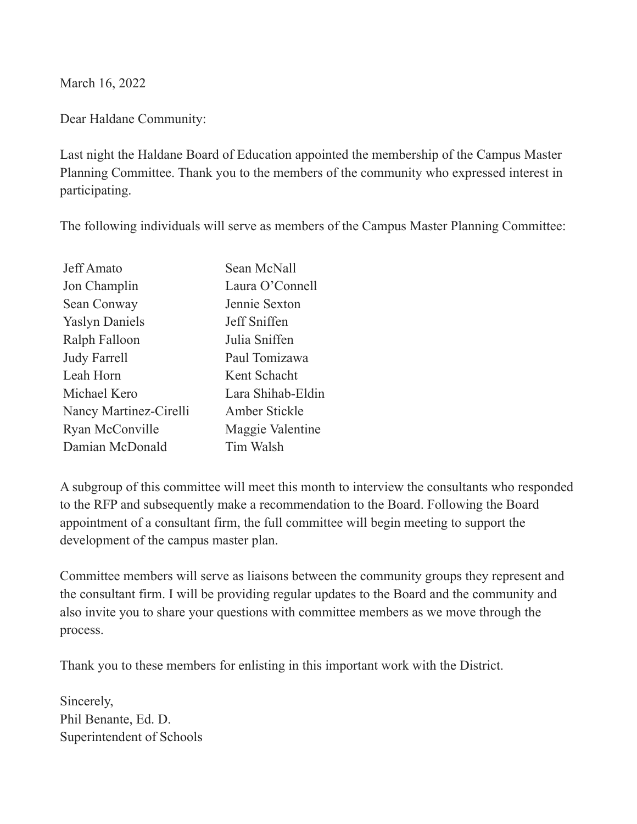March 16, 2022

Dear Haldane Community:

Last night the Haldane Board of Education appointed the membership of the Campus Master Planning Committee. Thank you to the members of the community who expressed interest in participating.

The following individuals will serve as members of the Campus Master Planning Committee:

| Jeff Amato             | Sean McNall       |
|------------------------|-------------------|
| Jon Champlin           | Laura O'Connell   |
| Sean Conway            | Jennie Sexton     |
| <b>Yaslyn Daniels</b>  | Jeff Sniffen      |
| Ralph Falloon          | Julia Sniffen     |
| <b>Judy Farrell</b>    | Paul Tomizawa     |
| Leah Horn              | Kent Schacht      |
| Michael Kero           | Lara Shihab-Eldin |
| Nancy Martinez-Cirelli | Amber Stickle     |
| Ryan McConville        | Maggie Valentine  |
| Damian McDonald        | Tim Walsh         |

A subgroup of this committee will meet this month to interview the consultants who responded to the RFP and subsequently make a recommendation to the Board. Following the Board appointment of a consultant firm, the full committee will begin meeting to support the development of the campus master plan.

Committee members will serve as liaisons between the community groups they represent and the consultant firm. I will be providing regular updates to the Board and the community and also invite you to share your questions with committee members as we move through the process.

Thank you to these members for enlisting in this important work with the District.

Sincerely, Phil Benante, Ed. D. Superintendent of Schools